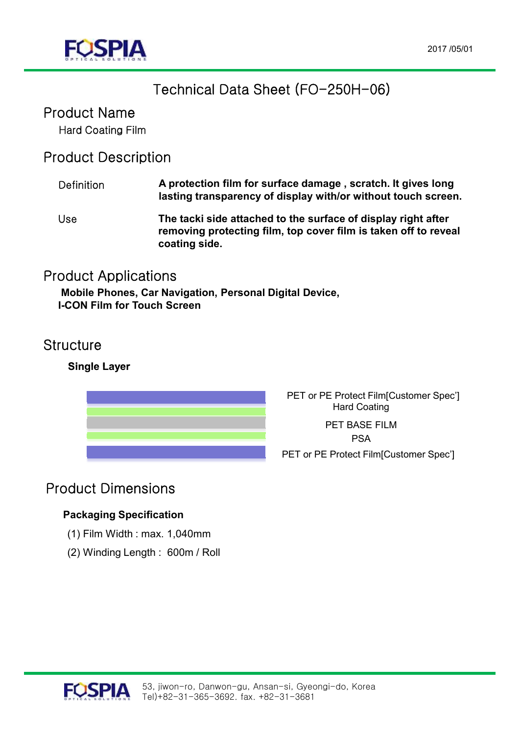

# Technical Data Sheet (FO-250H-06)

## Product Name

Hard Coating Film

### Product Description

| <b>Definition</b> | A protection film for surface damage, scratch. It gives long<br>lasting transparency of display with/or without touch screen.                     |
|-------------------|---------------------------------------------------------------------------------------------------------------------------------------------------|
| Use               | The tacki side attached to the surface of display right after<br>removing protecting film, top cover film is taken off to reveal<br>coating side. |

### Product Applications

**Mobile Phones, Car Navigation, Personal Digital Device, I-CON Film for Touch Screen**

### **Structure**

#### **Single Layer**



PET or PE Protect Film[Customer Spec'] Hard Coating

PET or PE Protect Film[Customer Spec'] PET BASE FILM PSA

## Product Dimensions

#### **Packaging Specification**

- (1) Film Width : max. 1,040mm
- (2) Winding Length : 600m / Roll